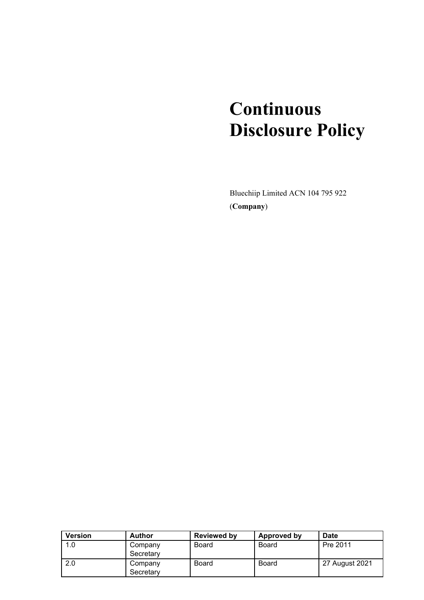# **Continuous Disclosure Policy**

Bluechiip Limited ACN 104 795 922 (**Company**)

| <b>Version</b> | <b>Author</b>        | <b>Reviewed by</b> | Approved by  | Date           |
|----------------|----------------------|--------------------|--------------|----------------|
| 1.0            | Company              | Board              | <b>Board</b> | Pre 2011       |
|                | Secretary            |                    |              |                |
| 2.0            | Company<br>Secretary | Board              | <b>Board</b> | 27 August 2021 |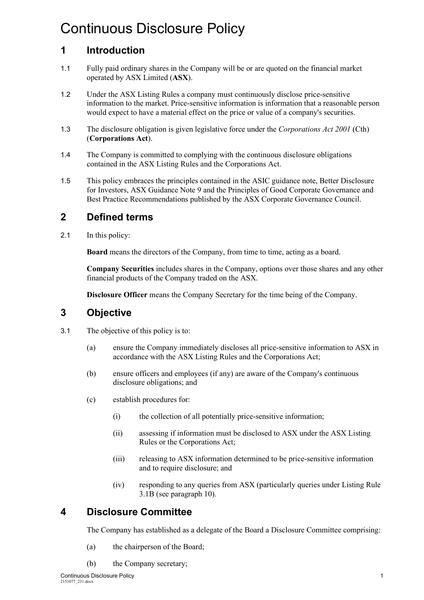# Continuous Disclosure Policy

# **1 Introduction**

- 1.1 Fully paid ordinary shares in the Company will be or are quoted on the financial market operated by ASX Limited (**ASX**).
- 1.2 Under the ASX Listing Rules a company must continuously disclose price-sensitive information to the market. Price-sensitive information is information that a reasonable person would expect to have a material effect on the price or value of a company's securities.
- 1.3 The disclosure obligation is given legislative force under the *Corporations Act 2001* (Cth) (**Corporations Act**).
- 1.4 The Company is committed to complying with the continuous disclosure obligations contained in the ASX Listing Rules and the Corporations Act.
- 1.5 This policy embraces the principles contained in the ASIC guidance note, Better Disclosure for Investors, ASX Guidance Note 9 and the Principles of Good Corporate Governance and Best Practice Recommendations published by the ASX Corporate Governance Council.

# **2 Defined terms**

2.1 In this policy:

**Board** means the directors of the Company, from time to time, acting as a board.

**Company Securities** includes shares in the Company, options over those shares and any other financial products of the Company traded on the ASX.

**Disclosure Officer** means the Company Secretary for the time being of the Company.

# **3 Objective**

- 3.1 The objective of this policy is to:
	- (a) ensure the Company immediately discloses all price-sensitive information to ASX in accordance with the ASX Listing Rules and the Corporations Act;
	- (b) ensure officers and employees (if any) are aware of the Company's continuous disclosure obligations; and
	- (c) establish procedures for:
		- (i) the collection of all potentially price-sensitive information;
		- (ii) assessing if information must be disclosed to ASX under the ASX Listing Rules or the Corporations Act;
		- (iii) releasing to ASX information determined to be price-sensitive information and to require disclosure; and
		- (iv) responding to any queries from ASX (particularly queries under Listing Rule 3.1B (see paragrap[h 10\)](#page-5-0).

# **4 Disclosure Committee**

The Company has established as a delegate of the Board a Disclosure Committee comprising:

- (a) the chairperson of the Board;
- (b) the Company secretary;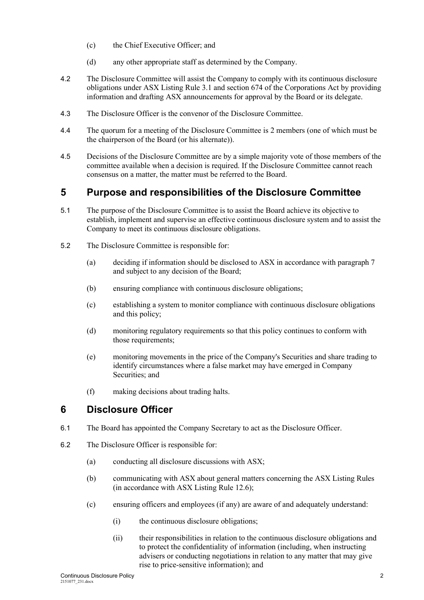- (c) the Chief Executive Officer; and
- (d) any other appropriate staff as determined by the Company.
- 4.2 The Disclosure Committee will assist the Company to comply with its continuous disclosure obligations under ASX Listing Rule 3.1 and section 674 of the Corporations Act by providing information and drafting ASX announcements for approval by the Board or its delegate.
- 4.3 The Disclosure Officer is the convenor of the Disclosure Committee.
- 4.4 The quorum for a meeting of the Disclosure Committee is 2 members (one of which must be the chairperson of the Board (or his alternate)).
- 4.5 Decisions of the Disclosure Committee are by a simple majority vote of those members of the committee available when a decision is required. If the Disclosure Committee cannot reach consensus on a matter, the matter must be referred to the Board.

#### **5 Purpose and responsibilities of the Disclosure Committee**

- 5.1 The purpose of the Disclosure Committee is to assist the Board achieve its objective to establish, implement and supervise an effective continuous disclosure system and to assist the Company to meet its continuous disclosure obligations.
- 5.2 The Disclosure Committee is responsible for:
	- (a) deciding if information should be disclosed to ASX in accordance with paragraph [7](#page-3-0) and subject to any decision of the Board;
	- (b) ensuring compliance with continuous disclosure obligations;
	- (c) establishing a system to monitor compliance with continuous disclosure obligations and this policy;
	- (d) monitoring regulatory requirements so that this policy continues to conform with those requirements;
	- (e) monitoring movements in the price of the Company's Securities and share trading to identify circumstances where a false market may have emerged in Company Securities; and
	- (f) making decisions about trading halts.

# **6 Disclosure Officer**

- 6.1 The Board has appointed the Company Secretary to act as the Disclosure Officer.
- 6.2 The Disclosure Officer is responsible for:
	- (a) conducting all disclosure discussions with ASX;
	- (b) communicating with ASX about general matters concerning the ASX Listing Rules (in accordance with ASX Listing Rule 12.6);
	- (c) ensuring officers and employees (if any) are aware of and adequately understand:
		- (i) the continuous disclosure obligations;
		- (ii) their responsibilities in relation to the continuous disclosure obligations and to protect the confidentiality of information (including, when instructing advisers or conducting negotiations in relation to any matter that may give rise to price-sensitive information); and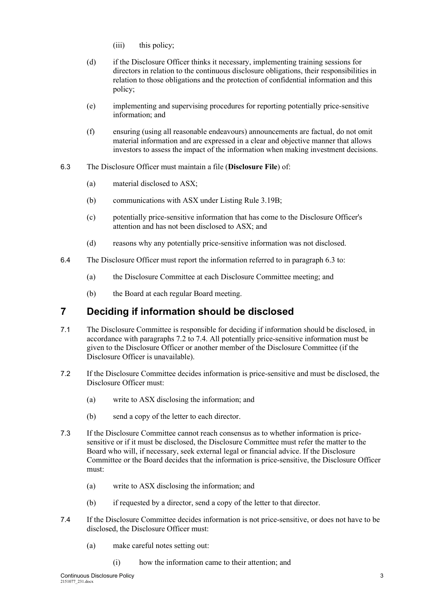- (iii) this policy:
- (d) if the Disclosure Officer thinks it necessary, implementing training sessions for directors in relation to the continuous disclosure obligations, their responsibilities in relation to those obligations and the protection of confidential information and this policy;
- (e) implementing and supervising procedures for reporting potentially price-sensitive information; and
- (f) ensuring (using all reasonable endeavours) announcements are factual, do not omit material information and are expressed in a clear and objective manner that allows investors to assess the impact of the information when making investment decisions.
- <span id="page-3-1"></span>6.3 The Disclosure Officer must maintain a file (**Disclosure File**) of:
	- (a) material disclosed to ASX;
	- (b) communications with ASX under Listing Rule 3.19B;
	- (c) potentially price-sensitive information that has come to the Disclosure Officer's attention and has not been disclosed to ASX; and
	- (d) reasons why any potentially price-sensitive information was not disclosed.
- 6.4 The Disclosure Officer must report the information referred to in paragraph [6.3](#page-3-1) to:
	- (a) the Disclosure Committee at each Disclosure Committee meeting; and
	- (b) the Board at each regular Board meeting.

# <span id="page-3-0"></span>**7 Deciding if information should be disclosed**

- 7.1 The Disclosure Committee is responsible for deciding if information should be disclosed, in accordance with paragraphs [7.2](#page-3-2) to [7.4.](#page-3-3) All potentially price-sensitive information must be given to the Disclosure Officer or another member of the Disclosure Committee (if the Disclosure Officer is unavailable).
- <span id="page-3-2"></span>7.2 If the Disclosure Committee decides information is price-sensitive and must be disclosed, the Disclosure Officer must:
	- (a) write to ASX disclosing the information; and
	- (b) send a copy of the letter to each director.
- 7.3 If the Disclosure Committee cannot reach consensus as to whether information is pricesensitive or if it must be disclosed, the Disclosure Committee must refer the matter to the Board who will, if necessary, seek external legal or financial advice. If the Disclosure Committee or the Board decides that the information is price-sensitive, the Disclosure Officer must:
	- (a) write to ASX disclosing the information; and
	- (b) if requested by a director, send a copy of the letter to that director.
- <span id="page-3-3"></span>7.4 If the Disclosure Committee decides information is not price-sensitive, or does not have to be disclosed, the Disclosure Officer must:
	- (a) make careful notes setting out:
		- (i) how the information came to their attention; and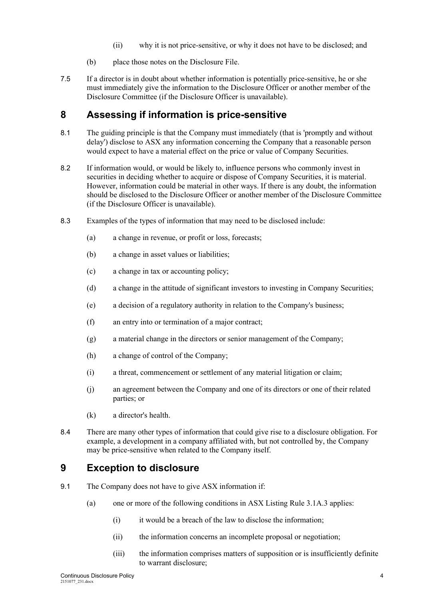- (ii) why it is not price-sensitive, or why it does not have to be disclosed; and
- (b) place those notes on the Disclosure File.
- 7.5 If a director is in doubt about whether information is potentially price-sensitive, he or she must immediately give the information to the Disclosure Officer or another member of the Disclosure Committee (if the Disclosure Officer is unavailable).

# **8 Assessing if information is price-sensitive**

- 8.1 The guiding principle is that the Company must immediately (that is 'promptly and without delay') disclose to ASX any information concerning the Company that a reasonable person would expect to have a material effect on the price or value of Company Securities.
- 8.2 If information would, or would be likely to, influence persons who commonly invest in securities in deciding whether to acquire or dispose of Company Securities, it is material. However, information could be material in other ways. If there is any doubt, the information should be disclosed to the Disclosure Officer or another member of the Disclosure Committee (if the Disclosure Officer is unavailable).
- 8.3 Examples of the types of information that may need to be disclosed include:
	- (a) a change in revenue, or profit or loss, forecasts;
	- (b) a change in asset values or liabilities;
	- (c) a change in tax or accounting policy;
	- (d) a change in the attitude of significant investors to investing in Company Securities;
	- (e) a decision of a regulatory authority in relation to the Company's business;
	- (f) an entry into or termination of a major contract;
	- (g) a material change in the directors or senior management of the Company;
	- (h) a change of control of the Company;
	- (i) a threat, commencement or settlement of any material litigation or claim;
	- (j) an agreement between the Company and one of its directors or one of their related parties; or
	- (k) a director's health.
- 8.4 There are many other types of information that could give rise to a disclosure obligation. For example, a development in a company affiliated with, but not controlled by, the Company may be price-sensitive when related to the Company itself.

# **9 Exception to disclosure**

- <span id="page-4-0"></span>9.1 The Company does not have to give ASX information if:
	- (a) one or more of the following conditions in ASX Listing Rule 3.1A.3 applies:
		- (i) it would be a breach of the law to disclose the information;
		- (ii) the information concerns an incomplete proposal or negotiation;
		- (iii) the information comprises matters of supposition or is insufficiently definite to warrant disclosure;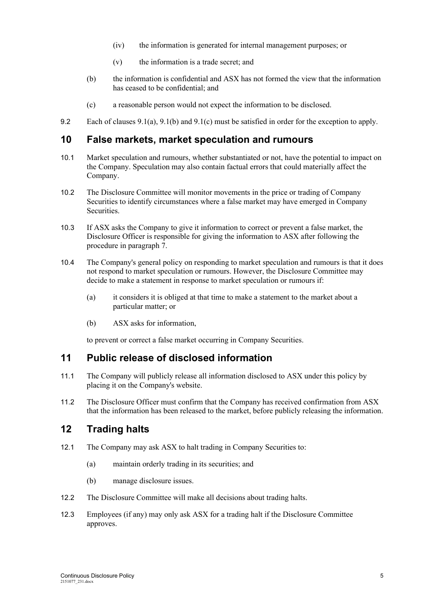- (iv) the information is generated for internal management purposes; or
- (v) the information is a trade secret; and
- <span id="page-5-1"></span>(b) the information is confidential and ASX has not formed the view that the information has ceased to be confidential; and
- (c) a reasonable person would not expect the information to be disclosed.
- <span id="page-5-2"></span>9.2 Each of clauses [9.1\(a\),](#page-4-0) [9.1\(b\)](#page-5-1) and [9.1\(c\)](#page-5-2) must be satisfied in order for the exception to apply.

#### <span id="page-5-0"></span>**10 False markets, market speculation and rumours**

- 10.1 Market speculation and rumours, whether substantiated or not, have the potential to impact on the Company. Speculation may also contain factual errors that could materially affect the Company.
- 10.2 The Disclosure Committee will monitor movements in the price or trading of Company Securities to identify circumstances where a false market may have emerged in Company Securities.
- 10.3 If ASX asks the Company to give it information to correct or prevent a false market, the Disclosure Officer is responsible for giving the information to ASX after following the procedure in paragrap[h 7.](#page-3-0)
- 10.4 The Company's general policy on responding to market speculation and rumours is that it does not respond to market speculation or rumours. However, the Disclosure Committee may decide to make a statement in response to market speculation or rumours if:
	- (a) it considers it is obliged at that time to make a statement to the market about a particular matter; or
	- (b) ASX asks for information,

to prevent or correct a false market occurring in Company Securities.

#### **11 Public release of disclosed information**

- 11.1 The Company will publicly release all information disclosed to ASX under this policy by placing it on the Company's website.
- 11.2 The Disclosure Officer must confirm that the Company has received confirmation from ASX that the information has been released to the market, before publicly releasing the information.

#### **12 Trading halts**

- 12.1 The Company may ask ASX to halt trading in Company Securities to:
	- (a) maintain orderly trading in its securities; and
	- (b) manage disclosure issues.
- 12.2 The Disclosure Committee will make all decisions about trading halts.
- 12.3 Employees (if any) may only ask ASX for a trading halt if the Disclosure Committee approves.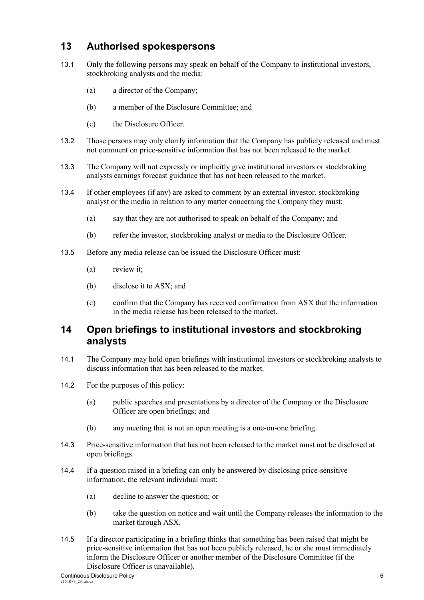# **13 Authorised spokespersons**

- 13.1 Only the following persons may speak on behalf of the Company to institutional investors, stockbroking analysts and the media:
	- (a) a director of the Company;
	- (b) a member of the Disclosure Committee; and
	- (c) the Disclosure Officer.
- 13.2 Those persons may only clarify information that the Company has publicly released and must not comment on price-sensitive information that has not been released to the market.
- 13.3 The Company will not expressly or implicitly give institutional investors or stockbroking analysts earnings forecast guidance that has not been released to the market.
- 13.4 If other employees (if any) are asked to comment by an external investor, stockbroking analyst or the media in relation to any matter concerning the Company they must:
	- (a) say that they are not authorised to speak on behalf of the Company; and
	- (b) refer the investor, stockbroking analyst or media to the Disclosure Officer.
- 13.5 Before any media release can be issued the Disclosure Officer must:
	- (a) review it;
	- (b) disclose it to ASX; and
	- (c) confirm that the Company has received confirmation from ASX that the information in the media release has been released to the market.

#### **14 Open briefings to institutional investors and stockbroking analysts**

- 14.1 The Company may hold open briefings with institutional investors or stockbroking analysts to discuss information that has been released to the market.
- 14.2 For the purposes of this policy:
	- (a) public speeches and presentations by a director of the Company or the Disclosure Officer are open briefings; and
	- (b) any meeting that is not an open meeting is a one-on-one briefing.
- 14.3 Price-sensitive information that has not been released to the market must not be disclosed at open briefings.
- 14.4 If a question raised in a briefing can only be answered by disclosing price-sensitive information, the relevant individual must:
	- (a) decline to answer the question; or
	- (b) take the question on notice and wait until the Company releases the information to the market through ASX.
- 14.5 If a director participating in a briefing thinks that something has been raised that might be price-sensitive information that has not been publicly released, he or she must immediately inform the Disclosure Officer or another member of the Disclosure Committee (if the Disclosure Officer is unavailable).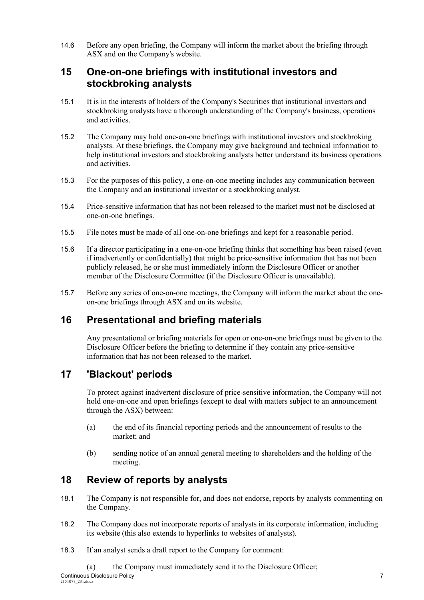14.6 Before any open briefing, the Company will inform the market about the briefing through ASX and on the Company's website.

#### **15 One-on-one briefings with institutional investors and stockbroking analysts**

- 15.1 It is in the interests of holders of the Company's Securities that institutional investors and stockbroking analysts have a thorough understanding of the Company's business, operations and activities.
- 15.2 The Company may hold one-on-one briefings with institutional investors and stockbroking analysts. At these briefings, the Company may give background and technical information to help institutional investors and stockbroking analysts better understand its business operations and activities.
- 15.3 For the purposes of this policy, a one-on-one meeting includes any communication between the Company and an institutional investor or a stockbroking analyst.
- 15.4 Price-sensitive information that has not been released to the market must not be disclosed at one-on-one briefings.
- 15.5 File notes must be made of all one-on-one briefings and kept for a reasonable period.
- 15.6 If a director participating in a one-on-one briefing thinks that something has been raised (even if inadvertently or confidentially) that might be price-sensitive information that has not been publicly released, he or she must immediately inform the Disclosure Officer or another member of the Disclosure Committee (if the Disclosure Officer is unavailable).
- 15.7 Before any series of one-on-one meetings, the Company will inform the market about the oneon-one briefings through ASX and on its website.

# **16 Presentational and briefing materials**

Any presentational or briefing materials for open or one-on-one briefings must be given to the Disclosure Officer before the briefing to determine if they contain any price-sensitive information that has not been released to the market.

# **17 'Blackout' periods**

To protect against inadvertent disclosure of price-sensitive information, the Company will not hold one-on-one and open briefings (except to deal with matters subject to an announcement through the ASX) between:

- (a) the end of its financial reporting periods and the announcement of results to the market; and
- (b) sending notice of an annual general meeting to shareholders and the holding of the meeting.

# **18 Review of reports by analysts**

- 18.1 The Company is not responsible for, and does not endorse, reports by analysts commenting on the Company.
- 18.2 The Company does not incorporate reports of analysts in its corporate information, including its website (this also extends to hyperlinks to websites of analysts).
- 18.3 If an analyst sends a draft report to the Company for comment: